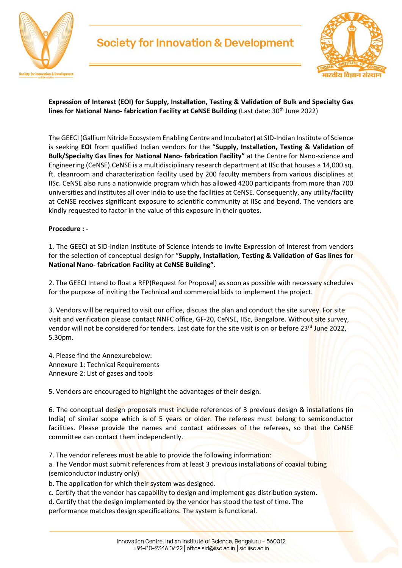

## **Society for Innovation & Development**



**Expression of Interest (EOI) for Supply, Installation, Testing & Validation of Bulk and Specialty Gas lines for National Nano- fabrication Facility at CeNSE Building (Last date: 30<sup>th</sup> June 2022)** 

The GEECI (Gallium Nitride Ecosystem Enabling Centre and Incubator) at SID-Indian Institute of Science is seeking **EOI** from qualified Indian vendors for the "**Supply, Installation, Testing & Validation of Bulk/Specialty Gas lines for National Nano- fabrication Facility"** at the Centre for Nano-science and Engineering (CeNSE).CeNSE is a multidisciplinary research department at IISc that houses a 14,000 sq. ft. cleanroom and characterization facility used by 200 faculty members from various disciplines at IISc. CeNSE also runs a nationwide program which has allowed 4200 participants from more than 700 universities and institutes all over India to use the facilities at CeNSE. Consequently, any utility/facility at CeNSE receives significant exposure to scientific community at IISc and beyond. The vendors are kindly requested to factor in the value of this exposure in their quotes.

#### **Procedure : -**

1. The GEECI at SID-Indian Institute of Science intends to invite Expression of Interest from vendors for the selection of conceptual design for "**Supply, Installation, Testing & Validation of Gas lines for National Nano- fabrication Facility at CeNSE Building"**.

2. The GEECI Intend to float a RFP(Request for Proposal) as soon as possible with necessary schedules for the purpose of inviting the Technical and commercial bids to implement the project.

3. Vendors will be required to visit our office, discuss the plan and conduct the site survey. For site visit and verification please contact NNFC office, GF-20, CeNSE, IISc, Bangalore. Without site survey, vendor will not be considered for tenders. Last date for the site visit is on or before 23<sup>rd</sup> June 2022, 5.30pm.

4. Please find the Annexurebelow: Annexure 1: Technical Requirements Annexure 2: List of gases and tools

5. Vendors are encouraged to highlight the advantages of their design.

6. The conceptual design proposals must include references of 3 previous design & installations (in India) of similar scope which is of 5 years or older. The referees must belong to semiconductor facilities. Please provide the names and contact addresses of the referees, so that the CeNSE committee can contact them independently.

7. The vendor referees must be able to provide the following information:

a. The Vendor must submit references from at least 3 previous installations of coaxial tubing (semiconductor industry only)

b. The application for which their system was designed.

c. Certify that the vendor has capability to design and implement gas distribution system.

d. Certify that the design implemented by the vendor has stood the test of time. The performance matches design specifications. The system is functional.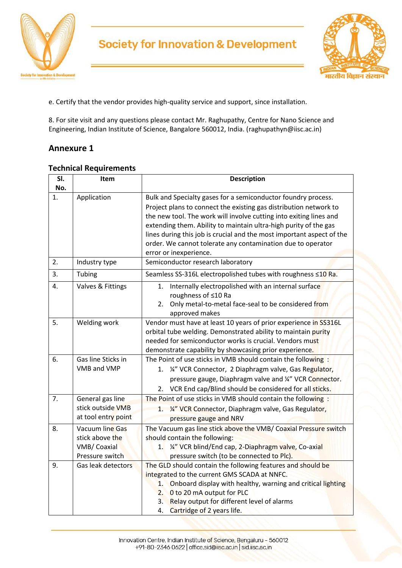

## **Society for Innovation & Development**



e. Certify that the vendor provides high-quality service and support, since installation.

8. For site visit and any questions please contact Mr. Raghupathy, Centre for Nano Science and Engineering, Indian Institute of Science, Bangalore 560012, India. (raghupathyn@iisc.ac.in)

### **Annexure 1**

| SI. | Item                                                                 | <b>Description</b>                                                                                                                                                                                                                                                                                                                                                                                                                             |  |  |  |  |  |  |  |  |  |
|-----|----------------------------------------------------------------------|------------------------------------------------------------------------------------------------------------------------------------------------------------------------------------------------------------------------------------------------------------------------------------------------------------------------------------------------------------------------------------------------------------------------------------------------|--|--|--|--|--|--|--|--|--|
| No. |                                                                      |                                                                                                                                                                                                                                                                                                                                                                                                                                                |  |  |  |  |  |  |  |  |  |
| 1.  | Application                                                          | Bulk and Specialty gases for a semiconductor foundry process.<br>Project plans to connect the existing gas distribution network to<br>the new tool. The work will involve cutting into exiting lines and<br>extending them. Ability to maintain ultra-high purity of the gas<br>lines during this job is crucial and the most important aspect of the<br>order. We cannot tolerate any contamination due to operator<br>error or inexperience. |  |  |  |  |  |  |  |  |  |
| 2.  | Industry type                                                        | Semiconductor research laboratory                                                                                                                                                                                                                                                                                                                                                                                                              |  |  |  |  |  |  |  |  |  |
| 3.  | Tubing                                                               | Seamless SS-316L electropolished tubes with roughness ≤10 Ra.                                                                                                                                                                                                                                                                                                                                                                                  |  |  |  |  |  |  |  |  |  |
| 4.  | Valves & Fittings                                                    | Internally electropolished with an internal surface<br>1.<br>roughness of ≤10 Ra<br>Only metal-to-metal face-seal to be considered from<br>2.<br>approved makes                                                                                                                                                                                                                                                                                |  |  |  |  |  |  |  |  |  |
| 5.  | Welding work                                                         | Vendor must have at least 10 years of prior experience in SS316L<br>orbital tube welding. Demonstrated ability to maintain purity<br>needed for semiconductor works is crucial. Vendors must<br>demonstrate capability by showcasing prior experience.                                                                                                                                                                                         |  |  |  |  |  |  |  |  |  |
| 6.  | Gas line Sticks in<br>VMB and VMP                                    | The Point of use sticks in VMB should contain the following :<br>1. ¼" VCR Connector, 2 Diaphragm valve, Gas Regulator,<br>pressure gauge, Diaphragm valve and 1/4" VCR Connector.<br>2. VCR End cap/Blind should be considered for all sticks.                                                                                                                                                                                                |  |  |  |  |  |  |  |  |  |
| 7.  | General gas line<br>stick outside VMB<br>at tool entry point         | The Point of use sticks in VMB should contain the following :<br>1. 14" VCR Connector, Diaphragm valve, Gas Regulator,<br>pressure gauge and NRV                                                                                                                                                                                                                                                                                               |  |  |  |  |  |  |  |  |  |
| 8.  | Vacuum line Gas<br>stick above the<br>VMB/Coaxial<br>Pressure switch | The Vacuum gas line stick above the VMB/ Coaxial Pressure switch<br>should contain the following:<br>1. ¼" VCR blind/End cap, 2-Diaphragm valve, Co-axial<br>pressure switch (to be connected to Plc).                                                                                                                                                                                                                                         |  |  |  |  |  |  |  |  |  |
| 9.  | Gas leak detectors                                                   | The GLD should contain the following features and should be<br>integrated to the current GMS SCADA at NNFC.<br>1. Onboard display with healthy, warning and critical lighting<br>2. 0 to 20 mA output for PLC<br>Relay output for different level of alarms<br>3.<br>Cartridge of 2 years life.<br>4.                                                                                                                                          |  |  |  |  |  |  |  |  |  |

#### **Technical Requirements**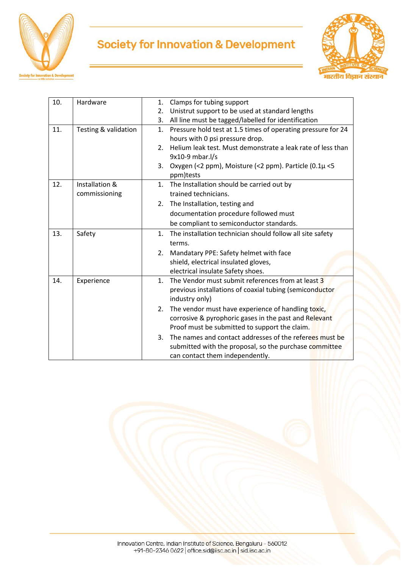

# **Society for Innovation & Development**



| 10. | Hardware             | Clamps for tubing support<br>1.                                     |  |  |  |  |  |  |  |
|-----|----------------------|---------------------------------------------------------------------|--|--|--|--|--|--|--|
|     |                      | Unistrut support to be used at standard lengths<br>2.               |  |  |  |  |  |  |  |
|     |                      | All line must be tagged/labelled for identification<br>3.           |  |  |  |  |  |  |  |
| 11. | Testing & validation | Pressure hold test at 1.5 times of operating pressure for 24<br>1.  |  |  |  |  |  |  |  |
|     |                      | hours with 0 psi pressure drop.                                     |  |  |  |  |  |  |  |
|     |                      | Helium leak test. Must demonstrate a leak rate of less than<br>2.   |  |  |  |  |  |  |  |
|     |                      | 9x10-9 mbar.l/s                                                     |  |  |  |  |  |  |  |
|     |                      | Oxygen (<2 ppm), Moisture (<2 ppm). Particle (0.1µ <5<br>3.         |  |  |  |  |  |  |  |
|     |                      | ppm)tests                                                           |  |  |  |  |  |  |  |
| 12. | Installation &       | The Installation should be carried out by<br>1.                     |  |  |  |  |  |  |  |
|     | commissioning        | trained technicians.                                                |  |  |  |  |  |  |  |
|     |                      | The Installation, testing and<br>2.                                 |  |  |  |  |  |  |  |
|     |                      | documentation procedure followed must                               |  |  |  |  |  |  |  |
|     |                      | be compliant to semiconductor standards.                            |  |  |  |  |  |  |  |
| 13. | Safety               | 1.<br>The installation technician should follow all site safety     |  |  |  |  |  |  |  |
|     |                      | terms.                                                              |  |  |  |  |  |  |  |
|     |                      | Mandatary PPE: Safety helmet with face<br>2.                        |  |  |  |  |  |  |  |
|     |                      | shield, electrical insulated gloves,                                |  |  |  |  |  |  |  |
|     |                      | electrical insulate Safety shoes.                                   |  |  |  |  |  |  |  |
| 14. | Experience           | The Vendor must submit references from at least 3<br>$\mathbf{1}$ . |  |  |  |  |  |  |  |
|     |                      | previous installations of coaxial tubing (semiconductor             |  |  |  |  |  |  |  |
|     |                      | industry only)                                                      |  |  |  |  |  |  |  |
|     |                      | The vendor must have experience of handling toxic,<br>2.            |  |  |  |  |  |  |  |
|     |                      | corrosive & pyrophoric gases in the past and Relevant               |  |  |  |  |  |  |  |
|     |                      | Proof must be submitted to support the claim.                       |  |  |  |  |  |  |  |
|     |                      | The names and contact addresses of the referees must be<br>3.       |  |  |  |  |  |  |  |
|     |                      | submitted with the proposal, so the purchase committee              |  |  |  |  |  |  |  |
|     |                      | can contact them independently.                                     |  |  |  |  |  |  |  |